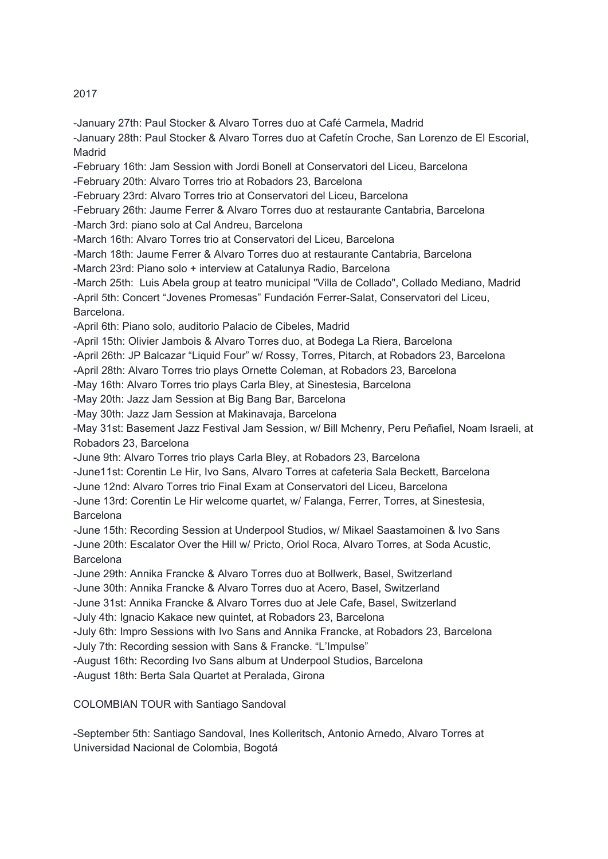## 2017

-January 27th: Paul Stocker & Alvaro Torres duo at Café Carmela, Madrid

-January 28th: Paul Stocker & Alvaro Torres duo at Cafetín Croche, San Lorenzo de El Escorial, **Madrid** 

-February 16th: Jam Session with Jordi Bonell at Conservatori del Liceu, Barcelona

-February 20th: Alvaro Torres trio at Robadors 23, Barcelona

-February 23rd: Alvaro Torres trio at Conservatori del Liceu, Barcelona

-February 26th: Jaume Ferrer & Alvaro Torres duo at restaurante Cantabria, Barcelona

-March 3rd: piano solo at Cal Andreu, Barcelona

-March 16th: Alvaro Torres trio at Conservatori del Liceu, Barcelona

-March 18th: Jaume Ferrer & Alvaro Torres duo at restaurante Cantabria, Barcelona

-March 23rd: Piano solo + interview at Catalunya Radio, Barcelona

-March 25th: Luis Abela group at teatro municipal "Villa de Collado", Collado Mediano, Madrid

-April 5th: Concert "Jovenes Promesas" Fundación Ferrer-Salat, Conservatori del Liceu, Barcelona.

-April 6th: Piano solo, auditorio Palacio de Cibeles, Madrid

-April 15th: Olivier Jambois & Alvaro Torres duo, at Bodega La Riera, Barcelona

-April 26th: JP Balcazar "Liquid Four" w/ Rossy, Torres, Pitarch, at Robadors 23, Barcelona

-April 28th: Alvaro Torres trio plays Ornette Coleman, at Robadors 23, Barcelona

-May 16th: Alvaro Torres trio plays Carla Bley, at Sinestesia, Barcelona

-May 20th: Jazz Jam Session at Big Bang Bar, Barcelona

-May 30th: Jazz Jam Session at Makinavaja, Barcelona

-May 31st: Basement Jazz Festival Jam Session, w/ Bill Mchenry, Peru Peñafiel, Noam Israeli, at Robadors 23, Barcelona

-June 9th: Alvaro Torres trio plays Carla Bley, at Robadors 23, Barcelona

-June11st: Corentin Le Hir, Ivo Sans, Alvaro Torres at cafeteria Sala Beckett, Barcelona

-June 12nd: Alvaro Torres trio Final Exam at Conservatori del Liceu, Barcelona

-June 13rd: Corentin Le Hir welcome quartet, w/ Falanga, Ferrer, Torres, at Sinestesia, **Barcelona** 

-June 15th: Recording Session at Underpool Studios, w/ Mikael Saastamoinen & Ivo Sans -June 20th: Escalator Over the Hill w/ Pricto, Oriol Roca, Alvaro Torres, at Soda Acustic, **Barcelona** 

-June 29th: Annika Francke & Alvaro Torres duo at Bollwerk, Basel, Switzerland

-June 30th: Annika Francke & Alvaro Torres duo at Acero, Basel, Switzerland

-June 31st: Annika Francke & Alvaro Torres duo at Jele Cafe, Basel, Switzerland

-July 4th: Ignacio Kakace new quintet, at Robadors 23, Barcelona

-July 6th: Impro Sessions with Ivo Sans and Annika Francke, at Robadors 23, Barcelona -July 7th: Recording session with Sans & Francke. "L'Impulse"

-August 16th: Recording Ivo Sans album at Underpool Studios, Barcelona

-August 18th: Berta Sala Quartet at Peralada, Girona

COLOMBIAN TOUR with Santiago Sandoval

-September 5th: Santiago Sandoval, Ines Kolleritsch, Antonio Arnedo, Alvaro Torres at Universidad Nacional de Colombia, Bogotá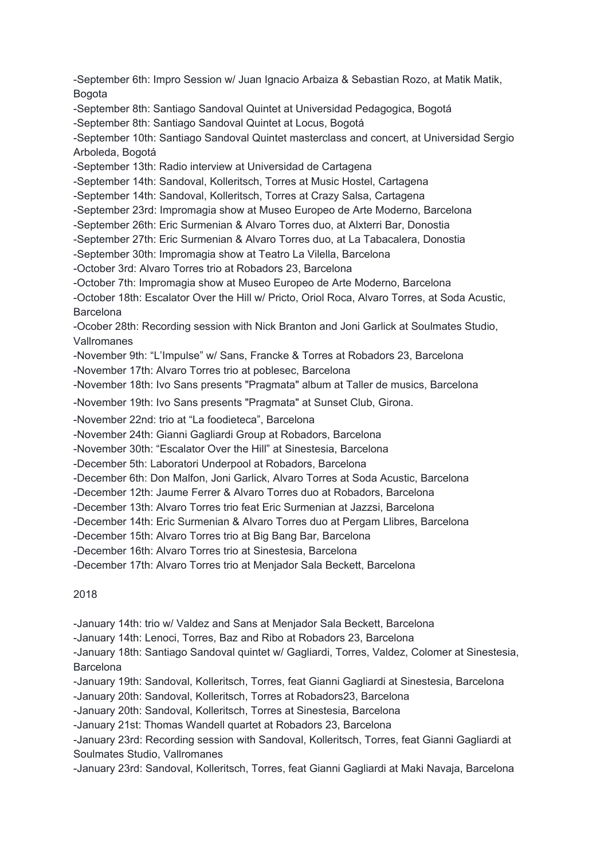-September 6th: Impro Session w/ Juan Ignacio Arbaiza & Sebastian Rozo, at Matik Matik, Bogota

-September 8th: Santiago Sandoval Quintet at Universidad Pedagogica, Bogotá

-September 8th: Santiago Sandoval Quintet at Locus, Bogotá

-September 10th: Santiago Sandoval Quintet masterclass and concert, at Universidad Sergio Arboleda, Bogotá

-September 13th: Radio interview at Universidad de Cartagena

-September 14th: Sandoval, Kolleritsch, Torres at Music Hostel, Cartagena

-September 14th: Sandoval, Kolleritsch, Torres at Crazy Salsa, Cartagena

-September 23rd: Impromagia show at Museo Europeo de Arte Moderno, Barcelona

-September 26th: Eric Surmenian & Alvaro Torres duo, at Alxterri Bar, Donostia

-September 27th: Eric Surmenian & Alvaro Torres duo, at La Tabacalera, Donostia

-September 30th: Impromagia show at Teatro La Vilella, Barcelona

-October 3rd: Alvaro Torres trio at Robadors 23, Barcelona

-October 7th: Impromagia show at Museo Europeo de Arte Moderno, Barcelona

-October 18th: Escalator Over the Hill w/ Pricto, Oriol Roca, Alvaro Torres, at Soda Acustic, **Barcelona** 

-Ocober 28th: Recording session with Nick Branton and Joni Garlick at Soulmates Studio, Vallromanes

-November 9th: "L'Impulse" w/ Sans, Francke & Torres at Robadors 23, Barcelona

-November 17th: Alvaro Torres trio at poblesec, Barcelona

-November 18th: Ivo Sans presents "Pragmata" album at Taller de musics, Barcelona

-November 19th: Ivo Sans presents "Pragmata" at Sunset Club, Girona.

-November 22nd: trio at "La foodieteca", Barcelona

-November 24th: Gianni Gagliardi Group at Robadors, Barcelona

-November 30th: "Escalator Over the Hill" at Sinestesia, Barcelona

-December 5th: Laboratori Underpool at Robadors, Barcelona

-December 6th: Don Malfon, Joni Garlick, Alvaro Torres at Soda Acustic, Barcelona

-December 12th: Jaume Ferrer & Alvaro Torres duo at Robadors, Barcelona

-December 13th: Alvaro Torres trio feat Eric Surmenian at Jazzsi, Barcelona

-December 14th: Eric Surmenian & Alvaro Torres duo at Pergam Llibres, Barcelona

-December 15th: Alvaro Torres trio at Big Bang Bar, Barcelona

-December 16th: Alvaro Torres trio at Sinestesia, Barcelona

-December 17th: Alvaro Torres trio at Menjador Sala Beckett, Barcelona

2018

-January 14th: trio w/ Valdez and Sans at Menjador Sala Beckett, Barcelona

-January 14th: Lenoci, Torres, Baz and Ribo at Robadors 23, Barcelona

-January 18th: Santiago Sandoval quintet w/ Gagliardi, Torres, Valdez, Colomer at Sinestesia, **Barcelona** 

-January 19th: Sandoval, Kolleritsch, Torres, feat Gianni Gagliardi at Sinestesia, Barcelona

-January 20th: Sandoval, Kolleritsch, Torres at Robadors23, Barcelona

-January 20th: Sandoval, Kolleritsch, Torres at Sinestesia, Barcelona

-January 21st: Thomas Wandell quartet at Robadors 23, Barcelona

-January 23rd: Recording session with Sandoval, Kolleritsch, Torres, feat Gianni Gagliardi at Soulmates Studio, Vallromanes

-January 23rd: Sandoval, Kolleritsch, Torres, feat Gianni Gagliardi at Maki Navaja, Barcelona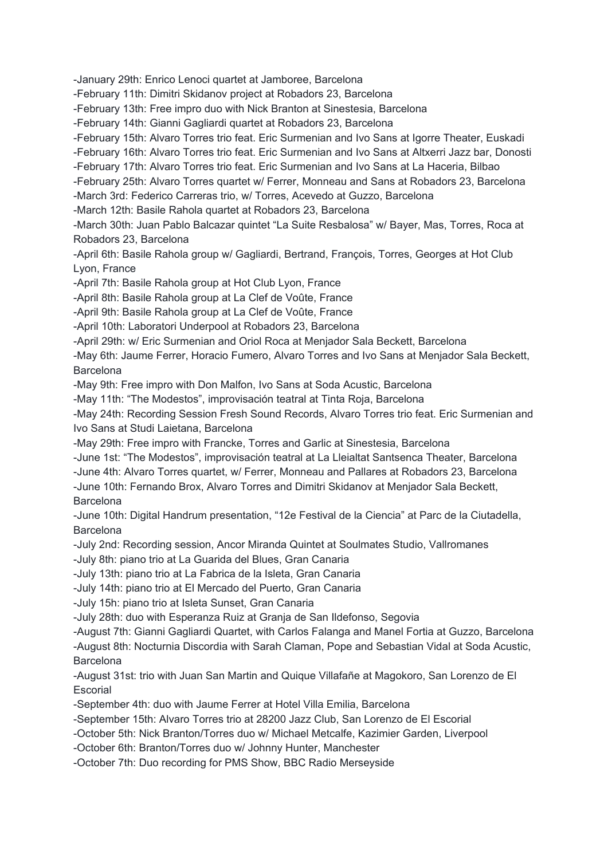-January 29th: Enrico Lenoci quartet at Jamboree, Barcelona

-February 11th: Dimitri Skidanov project at Robadors 23, Barcelona

-February 13th: Free impro duo with Nick Branton at Sinestesia, Barcelona

-February 14th: Gianni Gagliardi quartet at Robadors 23, Barcelona

-February 15th: Alvaro Torres trio feat. Eric Surmenian and Ivo Sans at Igorre Theater, Euskadi

-February 16th: Alvaro Torres trio feat. Eric Surmenian and Ivo Sans at Altxerri Jazz bar, Donosti

-February 17th: Alvaro Torres trio feat. Eric Surmenian and Ivo Sans at La Haceria, Bilbao

-February 25th: Alvaro Torres quartet w/ Ferrer, Monneau and Sans at Robadors 23, Barcelona

-March 3rd: Federico Carreras trio, w/ Torres, Acevedo at Guzzo, Barcelona

-March 12th: Basile Rahola quartet at Robadors 23, Barcelona

-March 30th: Juan Pablo Balcazar quintet "La Suite Resbalosa" w/ Bayer, Mas, Torres, Roca at Robadors 23, Barcelona

-April 6th: Basile Rahola group w/ Gagliardi, Bertrand, François, Torres, Georges at Hot Club Lyon, France

-April 7th: Basile Rahola group at Hot Club Lyon, France

-April 8th: Basile Rahola group at La Clef de Voûte, France

-April 9th: Basile Rahola group at La Clef de Voûte, France

-April 10th: Laboratori Underpool at Robadors 23, Barcelona

-April 29th: w/ Eric Surmenian and Oriol Roca at Menjador Sala Beckett, Barcelona

-May 6th: Jaume Ferrer, Horacio Fumero, Alvaro Torres and Ivo Sans at Menjador Sala Beckett, Barcelona

-May 9th: Free impro with Don Malfon, Ivo Sans at Soda Acustic, Barcelona

-May 11th: "The Modestos", improvisación teatral at Tinta Roja, Barcelona

-May 24th: Recording Session Fresh Sound Records, Alvaro Torres trio feat. Eric Surmenian and Ivo Sans at Studi Laietana, Barcelona

-May 29th: Free impro with Francke, Torres and Garlic at Sinestesia, Barcelona

-June 1st: "The Modestos", improvisación teatral at La Lleialtat Santsenca Theater, Barcelona

-June 4th: Alvaro Torres quartet, w/ Ferrer, Monneau and Pallares at Robadors 23, Barcelona

-June 10th: Fernando Brox, Alvaro Torres and Dimitri Skidanov at Menjador Sala Beckett, **Barcelona** 

-June 10th: Digital Handrum presentation, "12e Festival de la Ciencia" at Parc de la Ciutadella, **Barcelona** 

-July 2nd: Recording session, Ancor Miranda Quintet at Soulmates Studio, Vallromanes

-July 8th: piano trio at La Guarida del Blues, Gran Canaria

-July 13th: piano trio at La Fabrica de la Isleta, Gran Canaria

-July 14th: piano trio at El Mercado del Puerto, Gran Canaria

-July 15h: piano trio at Isleta Sunset, Gran Canaria

-July 28th: duo with Esperanza Ruiz at Granja de San Ildefonso, Segovia

-August 7th: Gianni Gagliardi Quartet, with Carlos Falanga and Manel Fortia at Guzzo, Barcelona -August 8th: Nocturnia Discordia with Sarah Claman, Pope and Sebastian Vidal at Soda Acustic, Barcelona

-August 31st: trio with Juan San Martin and Quique Villafañe at Magokoro, San Lorenzo de El **Escorial** 

-September 4th: duo with Jaume Ferrer at Hotel Villa Emilia, Barcelona

-September 15th: Alvaro Torres trio at 28200 Jazz Club, San Lorenzo de El Escorial

-October 5th: Nick Branton/Torres duo w/ Michael Metcalfe, Kazimier Garden, Liverpool

-October 6th: Branton/Torres duo w/ Johnny Hunter, Manchester

-October 7th: Duo recording for PMS Show, BBC Radio Merseyside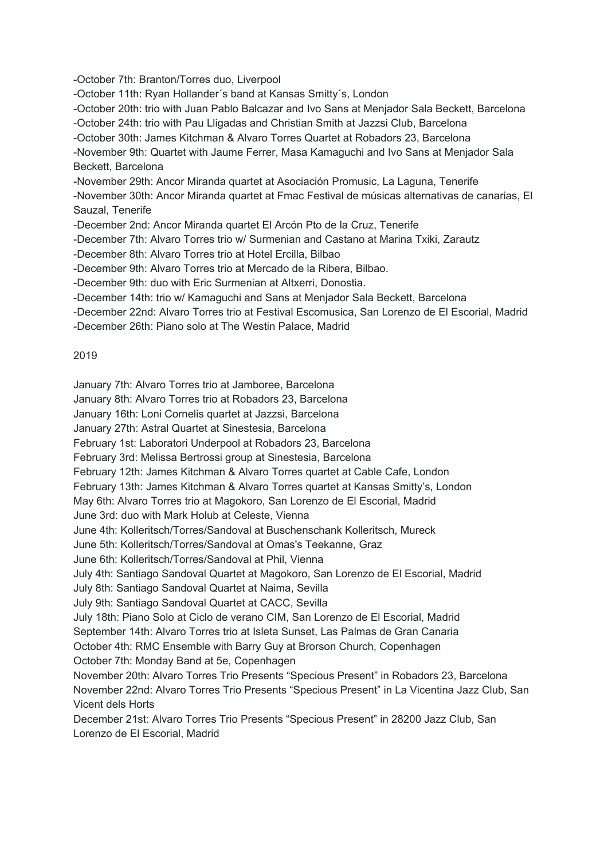-October 7th: Branton/Torres duo, Liverpool

-October 11th: Ryan Hollander´s band at Kansas Smitty´s, London

-October 20th: trio with Juan Pablo Balcazar and Ivo Sans at Menjador Sala Beckett, Barcelona

-October 24th: trio with Pau Lligadas and Christian Smith at Jazzsi Club, Barcelona

-October 30th: James Kitchman & Alvaro Torres Quartet at Robadors 23, Barcelona

-November 9th: Quartet with Jaume Ferrer, Masa Kamaguchi and Ivo Sans at Menjador Sala Beckett, Barcelona

-November 29th: Ancor Miranda quartet at Asociación Promusic, La Laguna, Tenerife

-November 30th: Ancor Miranda quartet at Fmac Festival de músicas alternativas de canarias, El Sauzal, Tenerife

-December 2nd: Ancor Miranda quartet El Arcón Pto de la Cruz, Tenerife

-December 7th: Alvaro Torres trio w/ Surmenian and Castano at Marina Txiki, Zarautz

-December 8th: Alvaro Torres trio at Hotel Ercilla, Bilbao

-December 9th: Alvaro Torres trio at Mercado de la Ribera, Bilbao.

-December 9th: duo with Eric Surmenian at Altxerri, Donostia.

-December 14th: trio w/ Kamaguchi and Sans at Menjador Sala Beckett, Barcelona

-December 22nd: Alvaro Torres trio at Festival Escomusica, San Lorenzo de El Escorial, Madrid

-December 26th: Piano solo at The Westin Palace, Madrid

## 2019

January 7th: Alvaro Torres trio at Jamboree, Barcelona

January 8th: Alvaro Torres trio at Robadors 23, Barcelona

January 16th: Loni Cornelis quartet at Jazzsi, Barcelona

January 27th: Astral Quartet at Sinestesia, Barcelona

February 1st: Laboratori Underpool at Robadors 23, Barcelona

February 3rd: Melissa Bertrossi group at Sinestesia, Barcelona

February 12th: James Kitchman & Alvaro Torres quartet at Cable Cafe, London

February 13th: James Kitchman & Alvaro Torres quartet at Kansas Smitty's, London

May 6th: Alvaro Torres trio at Magokoro, San Lorenzo de El Escorial, Madrid

June 3rd: duo with Mark Holub at Celeste, Vienna

June 4th: Kolleritsch/Torres/Sandoval at Buschenschank Kolleritsch, Mureck

June 5th: Kolleritsch/Torres/Sandoval at Omas's Teekanne, Graz

June 6th: Kolleritsch/Torres/Sandoval at Phil, Vienna

July 4th: Santiago Sandoval Quartet at Magokoro, San Lorenzo de El Escorial, Madrid

July 8th: Santiago Sandoval Quartet at Naima, Sevilla

July 9th: Santiago Sandoval Quartet at CACC, Sevilla

July 18th: Piano Solo at Ciclo de verano CIM, San Lorenzo de El Escorial, Madrid

September 14th: Alvaro Torres trio at Isleta Sunset, Las Palmas de Gran Canaria

October 4th: RMC Ensemble with Barry Guy at Brorson Church, Copenhagen October 7th: Monday Band at 5e, Copenhagen

November 20th: Alvaro Torres Trio Presents "Specious Present" in Robadors 23, Barcelona November 22nd: Alvaro Torres Trio Presents "Specious Present" in La Vicentina Jazz Club, San Vicent dels Horts

December 21st: Alvaro Torres Trio Presents "Specious Present" in 28200 Jazz Club, San Lorenzo de El Escorial, Madrid